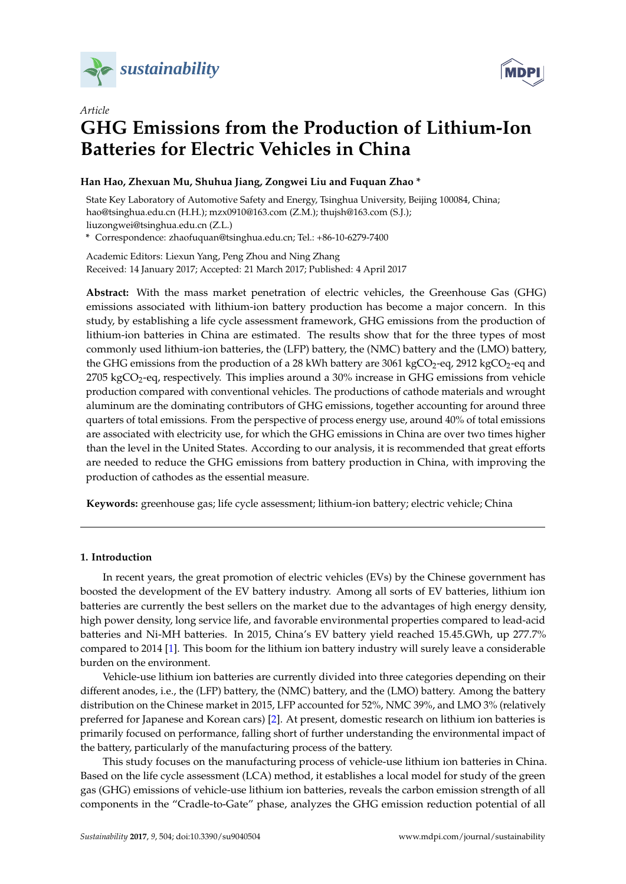

*Article*



# **GHG Emissions from the Production of Lithium-Ion Batteries for Electric Vehicles in China**

# **Han Hao, Zhexuan Mu, Shuhua Jiang, Zongwei Liu and Fuquan Zhao \***

State Key Laboratory of Automotive Safety and Energy, Tsinghua University, Beijing 100084, China; hao@tsinghua.edu.cn (H.H.); mzx0910@163.com (Z.M.); thujsh@163.com (S.J.); liuzongwei@tsinghua.edu.cn (Z.L.)

**\*** Correspondence: zhaofuquan@tsinghua.edu.cn; Tel.: +86-10-6279-7400

Academic Editors: Liexun Yang, Peng Zhou and Ning Zhang Received: 14 January 2017; Accepted: 21 March 2017; Published: 4 April 2017

**Abstract:** With the mass market penetration of electric vehicles, the Greenhouse Gas (GHG) emissions associated with lithium-ion battery production has become a major concern. In this study, by establishing a life cycle assessment framework, GHG emissions from the production of lithium-ion batteries in China are estimated. The results show that for the three types of most commonly used lithium-ion batteries, the (LFP) battery, the (NMC) battery and the (LMO) battery, the GHG emissions from the production of a 28 kWh battery are 3061 kgCO<sub>2</sub>-eq, 2912 kgCO<sub>2</sub>-eq and  $2705 \text{ kgCO}_2$ -eq, respectively. This implies around a  $30\%$  increase in GHG emissions from vehicle production compared with conventional vehicles. The productions of cathode materials and wrought aluminum are the dominating contributors of GHG emissions, together accounting for around three quarters of total emissions. From the perspective of process energy use, around 40% of total emissions are associated with electricity use, for which the GHG emissions in China are over two times higher than the level in the United States. According to our analysis, it is recommended that great efforts are needed to reduce the GHG emissions from battery production in China, with improving the production of cathodes as the essential measure.

**Keywords:** greenhouse gas; life cycle assessment; lithium-ion battery; electric vehicle; China

# **1. Introduction**

In recent years, the great promotion of electric vehicles (EVs) by the Chinese government has boosted the development of the EV battery industry. Among all sorts of EV batteries, lithium ion batteries are currently the best sellers on the market due to the advantages of high energy density, high power density, long service life, and favorable environmental properties compared to lead-acid batteries and Ni-MH batteries. In 2015, China's EV battery yield reached 15.45.GWh, up 277.7% compared to 2014 [\[1\]](#page-10-0). This boom for the lithium ion battery industry will surely leave a considerable burden on the environment.

Vehicle-use lithium ion batteries are currently divided into three categories depending on their different anodes, i.e., the (LFP) battery, the (NMC) battery, and the (LMO) battery. Among the battery distribution on the Chinese market in 2015, LFP accounted for 52%, NMC 39%, and LMO 3% (relatively preferred for Japanese and Korean cars) [\[2\]](#page-10-1). At present, domestic research on lithium ion batteries is primarily focused on performance, falling short of further understanding the environmental impact of the battery, particularly of the manufacturing process of the battery.

This study focuses on the manufacturing process of vehicle-use lithium ion batteries in China. Based on the life cycle assessment (LCA) method, it establishes a local model for study of the green gas (GHG) emissions of vehicle-use lithium ion batteries, reveals the carbon emission strength of all components in the "Cradle-to-Gate" phase, analyzes the GHG emission reduction potential of all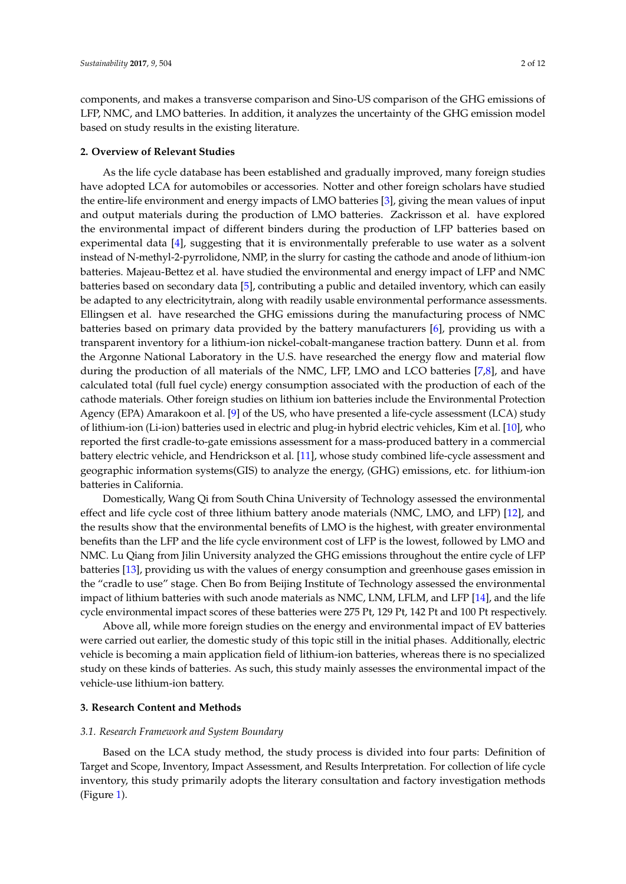components, and makes a transverse comparison and Sino-US comparison of the GHG emissions of LFP, NMC, and LMO batteries. In addition, it analyzes the uncertainty of the GHG emission model based on study results in the existing literature.

#### **2. Overview of Relevant Studies**

As the life cycle database has been established and gradually improved, many foreign studies have adopted LCA for automobiles or accessories. Notter and other foreign scholars have studied the entire-life environment and energy impacts of LMO batteries [\[3\]](#page-10-2), giving the mean values of input and output materials during the production of LMO batteries. Zackrisson et al. have explored the environmental impact of different binders during the production of LFP batteries based on experimental data [\[4\]](#page-10-3), suggesting that it is environmentally preferable to use water as a solvent instead of N-methyl-2-pyrrolidone, NMP, in the slurry for casting the cathode and anode of lithium-ion batteries. Majeau-Bettez et al. have studied the environmental and energy impact of LFP and NMC batteries based on secondary data [\[5\]](#page-10-4), contributing a public and detailed inventory, which can easily be adapted to any electricitytrain, along with readily usable environmental performance assessments. Ellingsen et al. have researched the GHG emissions during the manufacturing process of NMC batteries based on primary data provided by the battery manufacturers [\[6\]](#page-10-5), providing us with a transparent inventory for a lithium-ion nickel-cobalt-manganese traction battery. Dunn et al. from the Argonne National Laboratory in the U.S. have researched the energy flow and material flow during the production of all materials of the NMC, LFP, LMO and LCO batteries [\[7,](#page-10-6)[8\]](#page-10-7), and have calculated total (full fuel cycle) energy consumption associated with the production of each of the cathode materials. Other foreign studies on lithium ion batteries include the Environmental Protection Agency (EPA) Amarakoon et al. [\[9\]](#page-10-8) of the US, who have presented a life-cycle assessment (LCA) study of lithium-ion (Li-ion) batteries used in electric and plug-in hybrid electric vehicles, Kim et al. [\[10\]](#page-10-9), who reported the first cradle-to-gate emissions assessment for a mass-produced battery in a commercial battery electric vehicle, and Hendrickson et al. [\[11\]](#page-10-10), whose study combined life-cycle assessment and geographic information systems(GIS) to analyze the energy, (GHG) emissions, etc. for lithium-ion batteries in California.

Domestically, Wang Qi from South China University of Technology assessed the environmental effect and life cycle cost of three lithium battery anode materials (NMC, LMO, and LFP) [\[12\]](#page-10-11), and the results show that the environmental benefits of LMO is the highest, with greater environmental benefits than the LFP and the life cycle environment cost of LFP is the lowest, followed by LMO and NMC. Lu Qiang from Jilin University analyzed the GHG emissions throughout the entire cycle of LFP batteries [\[13\]](#page-10-12), providing us with the values of energy consumption and greenhouse gases emission in the "cradle to use" stage. Chen Bo from Beijing Institute of Technology assessed the environmental impact of lithium batteries with such anode materials as NMC, LNM, LFLM, and LFP [\[14\]](#page-10-13), and the life cycle environmental impact scores of these batteries were 275 Pt, 129 Pt, 142 Pt and 100 Pt respectively.

Above all, while more foreign studies on the energy and environmental impact of EV batteries were carried out earlier, the domestic study of this topic still in the initial phases. Additionally, electric vehicle is becoming a main application field of lithium-ion batteries, whereas there is no specialized study on these kinds of batteries. As such, this study mainly assesses the environmental impact of the vehicle-use lithium-ion battery.

## **3. Research Content and Methods**

#### *3.1. Research Framework and System Boundary*

Based on the LCA study method, the study process is divided into four parts: Definition of Target and Scope, Inventory, Impact Assessment, and Results Interpretation. For collection of life cycle inventory, this study primarily adopts the literary consultation and factory investigation methods (Figure [1\)](#page-2-0).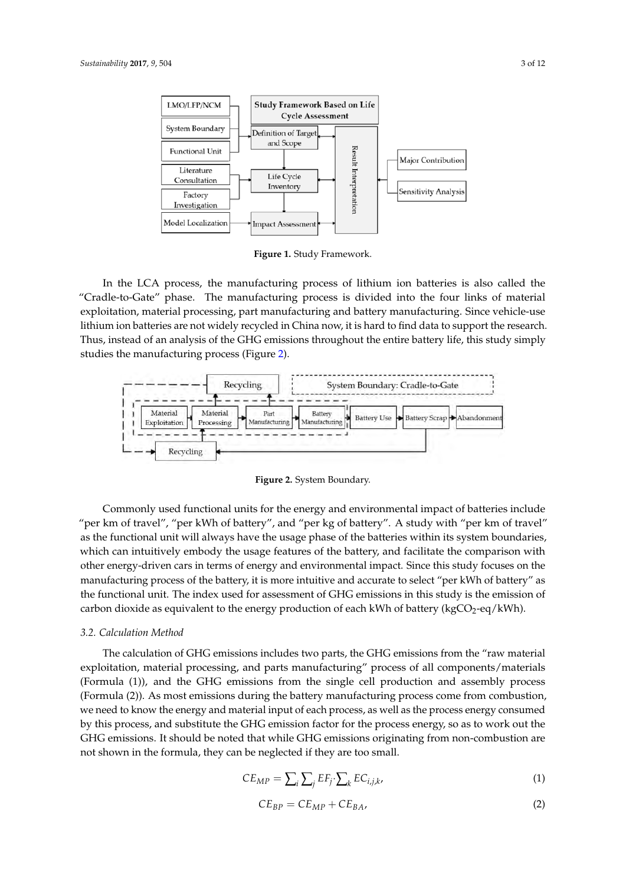<span id="page-2-0"></span>

**Figure 1.** Study Framework. **Figure 1.** Study Framework.

In the LCA process, the manufacturing process of lithium ion batteries is also called the "Cradle-to-Gate" phase. The manufacturing process is divided into the four links of material exploitation, material processing, part manufacturing and battery manufacturing. Since vehicle-use lithium ion batteries are not widely recycled in China now, it is hard to find data to support the research. Thus, instead of an analysis of the GHG emissions throughout the entire battery life, this study simply studies the manufacturing process (Figure [2\)](#page-2-1). studies the manufacturing process (Figure 2). to-Gate" phase. The manufacturing process is divided into the four links of material exploitation,

<span id="page-2-1"></span>

Figure 2. System Boundary.

 $\Omega$ ommonly used functional units for the energy and environmental impact of batteries inclusions. "per km of travel", "per kWh of battery", and "per kg of battery". A study with "per km of travel" as the functional unit will always have the usage phase of the batteries within its system boundaries, the manufacturing process of the manufacturing  $\epsilon$  the battery, and facilitate the sequencies  $\epsilon$ which can intuitively embody the usage features of the battery, and facilitate the comparison with other energy-driven cars in terms of energy and environmental impact. Since this study focuses on the manufacturing process of the battery, it is more intuitive and accurate to select "per kWh of battery" as *3.2. Calculation Method* eq/kWh). carbon dioxide as equivalent to the energy production of each kWh of battery (kgCO2-eq/kWh). Commonly used functional units for the energy and environmental impact of batteries include the functional unit. The index used for assessment of GHG emissions in this study is the emission of

#### $T_{\rm eff}$  and  $\Delta T_{\rm eff}$  emissions from the GHG emissions from the  $T_{\rm eff}$ material exploitation, material processing, and parts manufacturing  $p$ *3.2. Calculation Method 3.2. Calculation Method*

.<br>The calculation of GHG emissions includes two parts, the GHG emissions from the "raw mat exploitation, material processing, and parts manufacturing" process of all components/materials (Formula (1)), and the GHG emissions from the single cell production and assembly process (Formula (2)). As most emissions during the battery manufacturing process come from combustion,  $\sum_{i=1}^{n}$ we need to know the energy and material input of each process, as well as the process energy consumed by this process, and substitute the GHG emission factor for the process energy, so as to work out the not shown in the formula, they can be neglected if they are too small.  $\frac{1}{2}$  ,  $\frac{1}{2}$  ,  $\frac{1}{2}$  ,  $\frac{1}{2}$  ,  $\frac{1}{2}$  ,  $\frac{1}{2}$  ,  $\frac{1}{2}$  ,  $\frac{1}{2}$  ,  $\frac{1}{2}$  ,  $\frac{1}{2}$  ,  $\frac{1}{2}$  ,  $\frac{1}{2}$  ,  $\frac{1}{2}$  ,  $\frac{1}{2}$  ,  $\frac{1}{2}$  ,  $\frac{1}{2}$  ,  $\frac{1}{2}$  ,  $\frac{1}{2}$  ,  $\frac{1$ The calculation of GHG emissions includes two parts, the GHG emissions from the "raw material  $\,$ GHG emissions. It should be noted that while GHG emissions originating from non-combustion are

$$
CE_{MP} = \sum_{i} \sum_{j} EF_{j} \cdot \sum_{k} EC_{i,j,k},
$$
\n(1)

$$
CE_{BP} = CE_{MP} + CE_{BA}, \t\t(2)
$$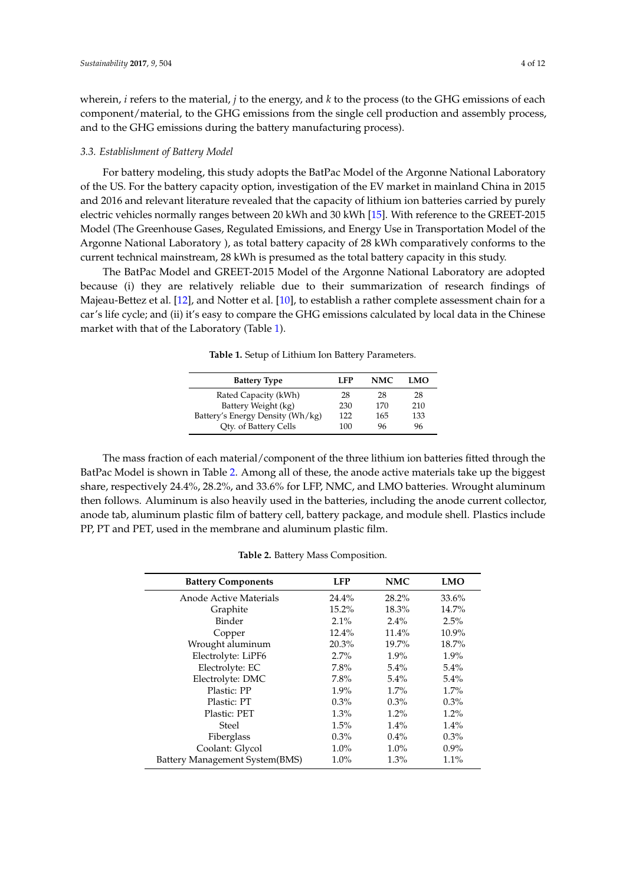wherein, *i* refers to the material, *j* to the energy, and *k* to the process (to the GHG emissions of each component/material, to the GHG emissions from the single cell production and assembly process, and to the GHG emissions during the battery manufacturing process).

#### *3.3. Establishment of Battery Model*

For battery modeling, this study adopts the BatPac Model of the Argonne National Laboratory of the US. For the battery capacity option, investigation of the EV market in mainland China in 2015 and 2016 and relevant literature revealed that the capacity of lithium ion batteries carried by purely electric vehicles normally ranges between 20 kWh and 30 kWh [\[15\]](#page-10-14). With reference to the GREET-2015 Model (The Greenhouse Gases, Regulated Emissions, and Energy Use in Transportation Model of the Argonne National Laboratory ), as total battery capacity of 28 kWh comparatively conforms to the current technical mainstream, 28 kWh is presumed as the total battery capacity in this study.

<span id="page-3-0"></span>The BatPac Model and GREET-2015 Model of the Argonne National Laboratory are adopted because (i) they are relatively reliable due to their summarization of research findings of Majeau-Bettez et al. [\[12\]](#page-10-11), and Notter et al. [\[10\]](#page-10-9), to establish a rather complete assessment chain for a car's life cycle; and (ii) it's easy to compare the GHG emissions calculated by local data in the Chinese market with that of the Laboratory (Table [1\)](#page-3-0).

**Table 1.** Setup of Lithium Ion Battery Parameters.

| <b>Battery Type</b>              | LFP | <b>NMC</b> | LMO |
|----------------------------------|-----|------------|-----|
| Rated Capacity (kWh)             | 28  | 28         | 28  |
| Battery Weight (kg)              | 230 | 170        | 210 |
| Battery's Energy Density (Wh/kg) | 122 | 165        | 133 |
| Qty. of Battery Cells            | 100 | 96         | 96  |

The mass fraction of each material/component of the three lithium ion batteries fitted through the BatPac Model is shown in Table [2.](#page-3-1) Among all of these, the anode active materials take up the biggest share, respectively 24.4%, 28.2%, and 33.6% for LFP, NMC, and LMO batteries. Wrought aluminum then follows. Aluminum is also heavily used in the batteries, including the anode current collector, anode tab, aluminum plastic film of battery cell, battery package, and module shell. Plastics include PP, PT and PET, used in the membrane and aluminum plastic film.

**Table 2.** Battery Mass Composition.

<span id="page-3-1"></span>

| <b>Battery Components</b>      | <b>LFP</b> | <b>NMC</b> | <b>LMO</b> |
|--------------------------------|------------|------------|------------|
| Anode Active Materials         | 24.4%      | 28.2%      | 33.6%      |
| Graphite                       | $15.2\%$   | 18.3%      | 14.7%      |
| Binder                         | $2.1\%$    | $2.4\%$    | 2.5%       |
| Copper                         | 12.4%      | 11.4%      | 10.9%      |
| Wrought aluminum               | 20.3%      | 19.7%      | 18.7%      |
| Electrolyte: LiPF6             | $2.7\%$    | $1.9\%$    | $1.9\%$    |
| Electrolyte: EC                | 7.8%       | $5.4\%$    | 5.4%       |
| Electrolyte: DMC               | 7.8%       | $5.4\%$    | $5.4\%$    |
| Plastic: PP                    | $1.9\%$    | $1.7\%$    | 1.7%       |
| Plastic: PT                    | $0.3\%$    | $0.3\%$    | $0.3\%$    |
| Plastic: PET                   | $1.3\%$    | $1.2\%$    | 1.2%       |
| Steel                          | 1.5%       | $1.4\%$    | 1.4%       |
| Fiberglass                     | $0.3\%$    | $0.4\%$    | $0.3\%$    |
| Coolant: Glycol                | $1.0\%$    | $1.0\%$    | $0.9\%$    |
| Battery Management System(BMS) | $1.0\%$    | $1.3\%$    | $1.1\%$    |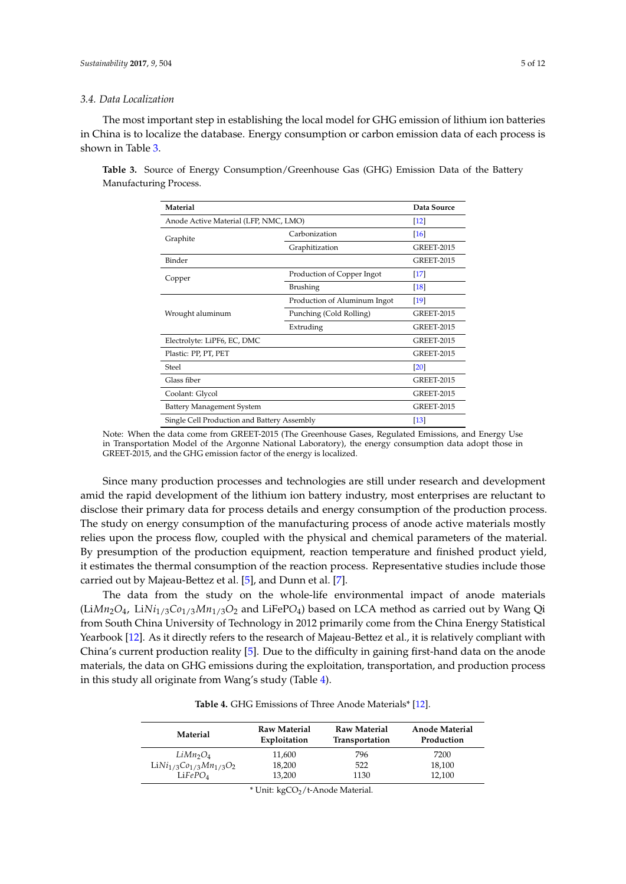#### *3.4. Data Localization*

The most important step in establishing the local model for GHG emission of lithium ion batteries in China is to localize the database. Energy consumption or carbon emission data of each process is shown in Table [3.](#page-4-0)

| Material                                    |                              | Data Source        |
|---------------------------------------------|------------------------------|--------------------|
| Anode Active Material (LFP, NMC, LMO)       |                              | $\lceil 12 \rceil$ |
| Graphite                                    | Carbonization                | [16]               |
|                                             | Graphitization               | <b>GREET-2015</b>  |
| Binder                                      |                              | <b>GREET-2015</b>  |
| Copper                                      | Production of Copper Ingot   | $[17]$             |
|                                             | Brushing                     | $\lceil 18 \rceil$ |
|                                             | Production of Aluminum Ingot | $\lceil 19 \rceil$ |
| Wrought aluminum                            | Punching (Cold Rolling)      | <b>GREET-2015</b>  |
|                                             | Extruding                    | <b>GREET-2015</b>  |
| Electrolyte: LiPF6, EC, DMC                 |                              | <b>GREET-2015</b>  |
| Plastic: PP, PT, PET                        |                              | <b>GREET-2015</b>  |
| Steel                                       |                              | $\left[20\right]$  |
| Glass fiber                                 |                              | <b>GREET-2015</b>  |
| Coolant: Glycol                             |                              | <b>GREET-2015</b>  |
| Battery Management System                   |                              | <b>GREET-2015</b>  |
| Single Cell Production and Battery Assembly |                              | $\lceil 13 \rceil$ |

<span id="page-4-0"></span>**Table 3.** Source of Energy Consumption/Greenhouse Gas (GHG) Emission Data of the Battery Manufacturing Process.

Note: When the data come from GREET-2015 (The Greenhouse Gases, Regulated Emissions, and Energy Use in Transportation Model of the Argonne National Laboratory), the energy consumption data adopt those in GREET-2015, and the GHG emission factor of the energy is localized.

Since many production processes and technologies are still under research and development amid the rapid development of the lithium ion battery industry, most enterprises are reluctant to disclose their primary data for process details and energy consumption of the production process. The study on energy consumption of the manufacturing process of anode active materials mostly relies upon the process flow, coupled with the physical and chemical parameters of the material. By presumption of the production equipment, reaction temperature and finished product yield, it estimates the thermal consumption of the reaction process. Representative studies include those carried out by Majeau-Bettez et al. [\[5\]](#page-10-4), and Dunn et al. [\[7\]](#page-10-6).

The data from the study on the whole-life environmental impact of anode materials (Li*Mn*2*O*4, Li*Ni*1/3*Co*1/3*Mn*1/3*O*<sup>2</sup> and LiFeP*O*4) based on LCA method as carried out by Wang Qi from South China University of Technology in 2012 primarily come from the China Energy Statistical Yearbook [\[12\]](#page-10-11). As it directly refers to the research of Majeau-Bettez et al., it is relatively compliant with China's current production reality [\[5\]](#page-10-4). Due to the difficulty in gaining first-hand data on the anode materials, the data on GHG emissions during the exploitation, transportation, and production process in this study all originate from Wang's study (Table [4\)](#page-4-1).

<span id="page-4-1"></span>

| Material                         | Raw Material<br>Exploitation | Raw Material<br>Transportation | <b>Anode Material</b><br>Production |
|----------------------------------|------------------------------|--------------------------------|-------------------------------------|
| LiMn <sub>2</sub> O <sub>4</sub> | 11,600                       | 796                            | 7200                                |
| $LiNi1/3Co1/3Mn1/3O2$            | 18,200                       | 522                            | 18,100                              |
| LiFePO <sub>4</sub>              | 13,200                       | 1130                           | 12,100                              |

**Table 4.** GHG Emissions of Three Anode Materials\* [\[12\]](#page-10-11).

\* Unit: kgCO2/t-Anode Material.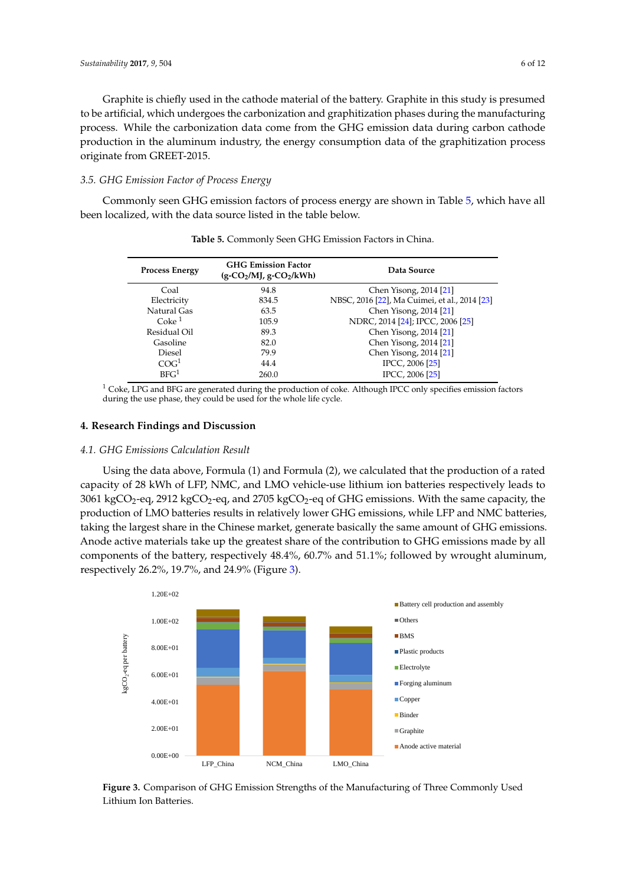Graphite is chiefly used in the cathode material of the battery. Graphite in this study is presumed to be artificial, which undergoes the carbonization and graphitization phases during the manufacturing process. While the carbonization data come from the GHG emission data during carbon cathode production in the aluminum industry, the energy consumption data of the graphitization process *3.5. Griginate from GREET-2015.* 

# *3.5. GHG Emission Factor of Process Energy*

Commonly seen GHG emission factors of process energy are shown in Table [5,](#page-5-0) which have all been localized, with the data source listed in the table below.

| <b>Process Energy</b> | <b>GHG Emission Factor</b><br>$(g$ -CO <sub>2</sub> /MJ, g-CO <sub>2</sub> /kWh) | Data Source                                   |  |  |
|-----------------------|----------------------------------------------------------------------------------|-----------------------------------------------|--|--|
| Coal                  | 94.8                                                                             | Chen Yisong, 2014 [21]                        |  |  |
| Electricity           | 834.5                                                                            | NBSC, 2016 [22], Ma Cuimei, et al., 2014 [23] |  |  |
| Natural Gas           | 63.5                                                                             | Chen Yisong, 2014 [21]                        |  |  |
| Coke <sup>1</sup>     | 105.9                                                                            | NDRC, 2014 [24]; IPCC, 2006 [25]              |  |  |
| Residual Oil          | 89.3                                                                             | Chen Yisong, 2014 [21]                        |  |  |
| Gasoline              | 82.0                                                                             | Chen Yisong, 2014 [21]                        |  |  |
| Diesel                | 79.9                                                                             | Chen Yisong, 2014 [21]                        |  |  |
| COG <sup>1</sup>      | 44.4                                                                             | IPCC, 2006 [25]                               |  |  |
| BFG <sup>1</sup>      | 260.0                                                                            | IPCC, 2006 [25]                               |  |  |

<span id="page-5-0"></span>**Table 5.** Commonly Seen GHG Emission Factors in China.

 $1$  Coke, LPG and BFG are generated during the production of coke. Although IPCC only specifies emission factors during the use phase*,* they could be used for the whole life cycle.

# **4. Research Findings and Discussion**

# **4.1. GHG Emissions Calculation Result**

Using the data above, Formula (1) and Formula (2), we calculated that the production of a rated capacity of 28 kWh of LFP, NMC, and LMO vehicle-use lithium ion batteries respectively leads to  $3061~\text{kgCO}_2$ -eq, 2912 kgCO<sub>2</sub>-eq, and 2705 kgCO<sub>2</sub>-eq of GHG emissions. With the same capacity, the production of LMO batteries results in relatively lower GHG emissions, while LFP and NMC batteries, taking the largest share in the Chinese market, generate basically the same amount of GHG emissions. Anode active materials take up the greatest share of the contribution to GHG emissions made by all components of the battery, respectively 48.4%, 60.7% and 51.1%; followed by wrought aluminum, respectively 26.2%, 19.7%, and 24.9% (Figure [3\)](#page-5-1).

<span id="page-5-1"></span>

**Figure 3.** Comparison of GHG Emission Strengths of the Manufacturing of Three Commonly Used Lithium Ion Batteries.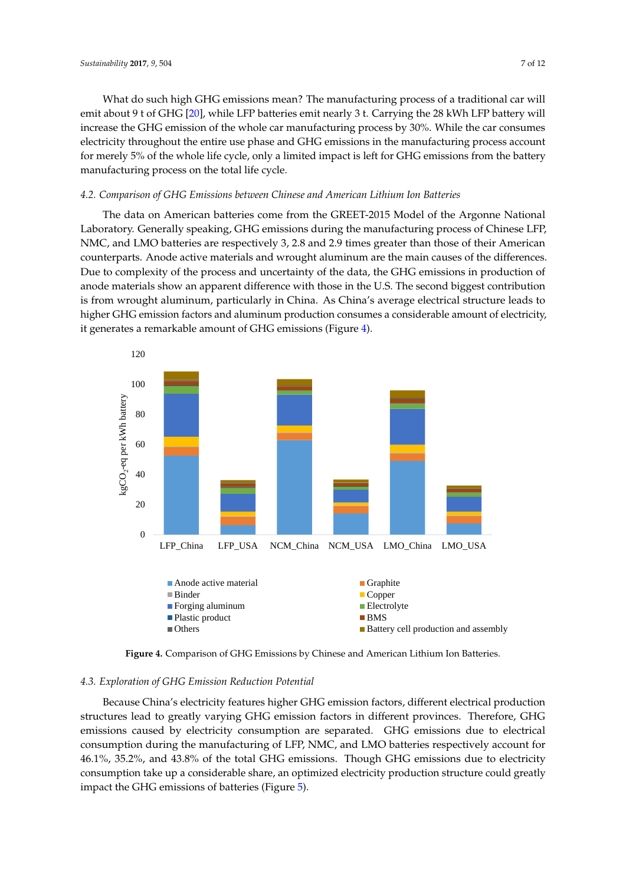What do such high GHG emissions mean? The manufacturing process of a traditional car will What do such high GHG emissions mean? The manufacturing process of a traditional car will emit about 9 t of GHG [\[20\]](#page-10-19), while LFP batteries emit nearly 3 t. Carrying the 28 kWh LFP battery will emit about 9 t of GHG [20], while LFP batteries emit nearly 3 t. Carrying the 28 kWh LFP battery will increase the GHG emission of the whole car manufacturing process by 30%. While the car consumes increase the GHG emission of the whole car manufacturing process by 30%. While the car consumes electricity throughout the entire use phase and GHG emissions in the manufacturing process account electricity throughout the entire use phase and GHG emissions in the manufacturing process account for merely 5% of the whole life cycle, only a limited impact is left for GHG emissions from the battery for merely 5% of the whole life cycle, only a limited impact is left for GHG emissions from the battery manufacturing process on the total life cycle. manufacturing process on the total life cycle.

# *4.2. Comparison of GHG Emissions between Chinese and American Lithium Ion Batteries 4.2. Comparison of GHG Emissions between Chinese and American Lithium Ion Batteries*

The data on American batteries come from the GREET-2015 Model of the Argonne National The data on American batteries come from the GREET-2015 Model of the Argonne National Laboratory. Generally speaking, GHG emissions during the manufacturing process of Chinese LFP, Laboratory. Generally speaking, GHG emissions during the manufacturing process of Chinese LFP, NMC, and LMO batteries are respectively 3, 2.8 and 2.9 times greater than those of their American NMC, and LMO batteries are respectively 3, 2.8 and 2.9 times greater than those of their American counterparts. Anode active materials and wrought aluminum are the main causes of the differences. counterparts. Anode active materials and wrought aluminum are the main causes of the differences. Due to complexity of the process and uncertainty of the data, the GHG emissions in production of Due to complexity of the process and uncertainty of the data, the GHG emissions in production of anode materials show an apparent difference with those in the U.S. The second biggest contribution anode materials show an apparent difference with those in the U.S. The second biggest contribution is from wrought aluminum, particularly in China. As China's average electrical structure leads to is from wrought aluminum, particularly in China. As China's average electrical structure leads to higher GHG emission factors and aluminum production consumes a considerable amount of electricity, higher GHG emission factors and aluminum production consumes a considerable amount of it generates a remarkable amount of GHG emissions (Figure [4\)](#page-6-0).

<span id="page-6-0"></span>

**Figure 4.** Comparison of GHG Emissions by Chinese and American Lithium Ion Batteries. **Figure 4.** Comparison of GHG Emissions by Chinese and American Lithium Ion Batteries.

# *4.3. Exploration of GHG Emission Reduction Potential 4.3. Exploration of GHG Emission Reduction Potential*

Because China's electricity features higher GHG emission factors, different electrical production Because China's electricity features higher GHG emission factors, different electrical production structures lead to greatly varying GHG emission factors in different provinces. Therefore, GHG structures lead to greatly varying GHG emission factors in different provinces. Therefore, GHG emissions caused by electricity consumption are separated. GHG emissions due to electrical emissions caused by electricity consumption are separated. GHG emissions due to electrical consumption during the manufacturing of LFP, NMC, and LMO batteries respectively account for 46.1%, 35.2%, and 43.8% of the total GHG emissions. Though GHG emissions due to electricity 46.1%, 35.2%, and 43.8% of the total GHG emissions. Though GHG emissions due to electricity consumption take up a considerable share, an optimized electricity production structure could consumption take up a considerable share, an optimized electricity production structure could greatly impact the GHG emissions of batteries (Figure [5\)](#page-7-0).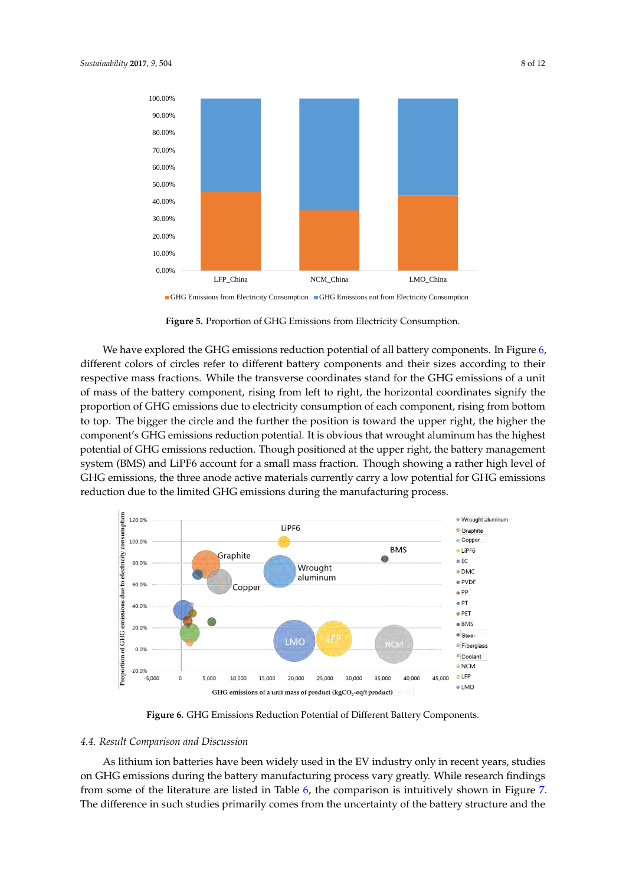<span id="page-7-0"></span>

IGHG Emissions from Electricity Consumption ■ GHG Emissions not from Electricity Consumption

**Figure 5.** Proportion of GHG Emissions from Electricity Consumption. **Figure 5.** Proportion of GHG Emissions from Electricity Consumption. **Figure 5.** Proportion of GHG Emissions from Electricity Consumption.

We have explored the GHG emissions reduction potential of all battery components. In Fig[ure](#page-7-1) 6, different colors of circles refer to different battery components and their sizes according to their respective mass fractions. While the transverse coordinates stand for the GHG emissions of a unit of mass of the battery component, rising from left to right, the horizontal coordinates signify the proportion of GHG emissions due to electricity consumption of each component, rising from bottom to top. The bigger the circle and the further the position is toward the upper right, the higher the component's GHG emissions reduction potential. It is obvious that wrought aluminum has the highest potential of GHG emissions reduction. Though positioned at the upper right, the battery management system (BMS) and LiPF6 account for a small mass fraction. Though showing a rather high level of GHG emissions, the three anode active materials currently carry a low potential for GHG emissions reduction due to the limited GHG emissions during the manufacturing process.

<span id="page-7-1"></span>

Figure 6. GHG Emissions Reduction Potential of Different Battery Components.

# *4.4. Result Comparison and Discussion 4.4. Result Comparison and Discussion 4.4. Result Comparison and Discussion*

As lithium ion batteries have been widely used in the EV industry only in recent years, studies<br>--on GHG emissions during the battery manufacturing process vary greatly. While research findings from some of [th](#page-8-0)e literature are listed in Table 6, t[he](#page-8-1) comparison is intuitively shown in Figure 7. The difference in such studies primarily comes from the uncertainty of the battery structure and the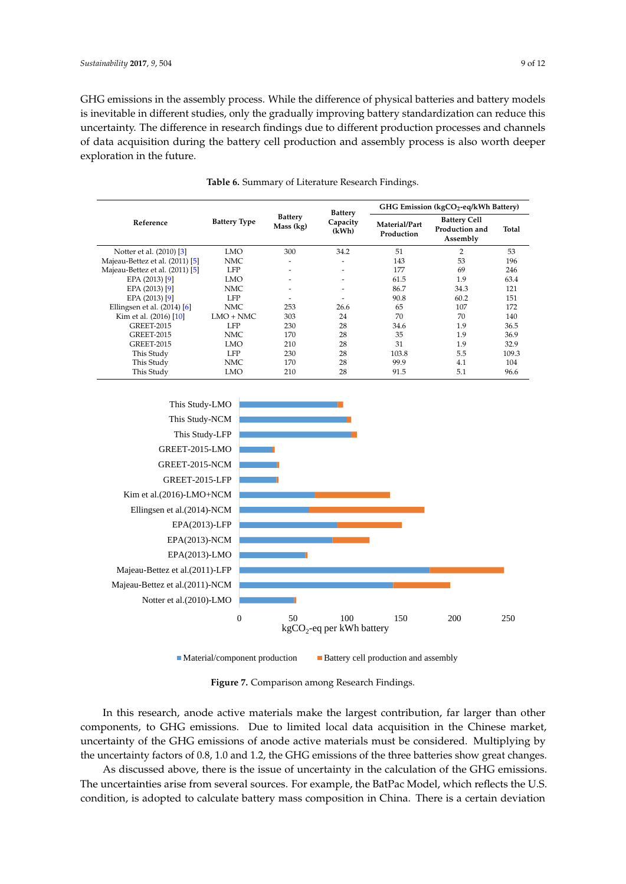GHG emissions in the assembly process. While the difference of physical batteries and battery models is inevitable in different studies, only the gradually improving battery standardization can reduce this of data acquisition during the battery cell production and assembly process is also worth deeper uncertainty. The difference in research findings due to different production processes and channels of data acquisition during the battery cell production and assembly process is also worth deeper exploration in the future. uncertainty. The dissembly process. While the uncertainty of priyated pathering and pathery model

<span id="page-8-0"></span>

|                                 | <b>Battery Type</b> | <b>Battery</b><br>Mass (kg) | <b>Battery</b><br>Capacity<br>(kWh) | GHG Emission (kgCO <sub>2</sub> -eq/kWh Battery) |                                                   |       |
|---------------------------------|---------------------|-----------------------------|-------------------------------------|--------------------------------------------------|---------------------------------------------------|-------|
| Reference                       |                     |                             |                                     | Material/Part<br>Production                      | <b>Battery Cell</b><br>Production and<br>Assembly | Total |
| Notter et al. (2010) [3]        | LMO                 | 300                         | 34.2                                | 51                                               | $\overline{2}$                                    | 53    |
| Majeau-Bettez et al. (2011) [5] | NMC                 | ٠                           |                                     | 143                                              | 53                                                | 196   |
| Majeau-Bettez et al. (2011) [5] | <b>LFP</b>          |                             |                                     | 177                                              | 69                                                | 246   |
| EPA (2013) [9]                  | <b>LMO</b>          |                             |                                     | 61.5                                             | 1.9                                               | 63.4  |
| EPA (2013) [9]                  | NMC                 |                             | ٠                                   | 86.7                                             | 34.3                                              | 121   |
| EPA (2013) [9]                  | <b>LFP</b>          | ۰                           |                                     | 90.8                                             | 60.2                                              | 151   |
| Ellingsen et al. $(2014)$ [6]   | NMC                 | 253                         | 26.6                                | 65                                               | 107                                               | 172   |
| Kim et al. (2016) [10]          | $LMO + NMC$         | 303                         | 24                                  | 70                                               | 70                                                | 140   |
| <b>GREET-2015</b>               | LFP                 | 230                         | 28                                  | 34.6                                             | 1.9                                               | 36.5  |
| <b>GREET-2015</b>               | NMC                 | 170                         | 28                                  | 35                                               | 1.9                                               | 36.9  |
| <b>GREET-2015</b>               | <b>LMO</b>          | 210                         | 28                                  | 31                                               | 1.9                                               | 32.9  |
| This Study                      | LFP.                | 230                         | 28                                  | 103.8                                            | 5.5                                               | 109.3 |
| This Study                      | NMC                 | 170                         | 28                                  | 99.9                                             | 4.1                                               | 104   |
| This Study                      | <b>LMO</b>          | 210                         | 28                                  | 91.5                                             | 5.1                                               | 96.6  |

**Table 6.** Summary of Literature Research Findings.

<span id="page-8-1"></span>

 $\blacksquare$ Material/component production  $\blacksquare$  Battery cell production and assembly

**Figure 7.** Comparison among Research Findings. **Figure 7.** Comparison among Research Findings.

In this research, anode active materials make the largest contribution, far larger than other In this research, anode active materials make the largest contribution, far larger than other components, to GHG emissions. Due to limited local data acquisition in the Chinese market, components, to GHG emissions. Due to limited local data acquisition in the Chinese market, uncertainty of the GHG emissions of anode active materials must be considered. Multiplying by uncertainty factors of 0.8, 1.0 and 1.2, the GHG emissions of the three batteries show great changes. the uncertainty factors of 0.8, 1.0 and 1.2, the GHG emissions of the three batteries show great changes.

As discussed above, there is the issue of uncertainty in the calculation of the GHG emissions. As discussed above, there is the issue of uncertainty in the calculation of the GHG emissions. The uncertainties arise from several sources. For example, the BatPac Model, which reflects the U.S. The uncertainties arise from several sources. For example, the BatPac Model, which reflects the U.S. condition, is adopted to calculate battery mass composition in China. There is a certain deviation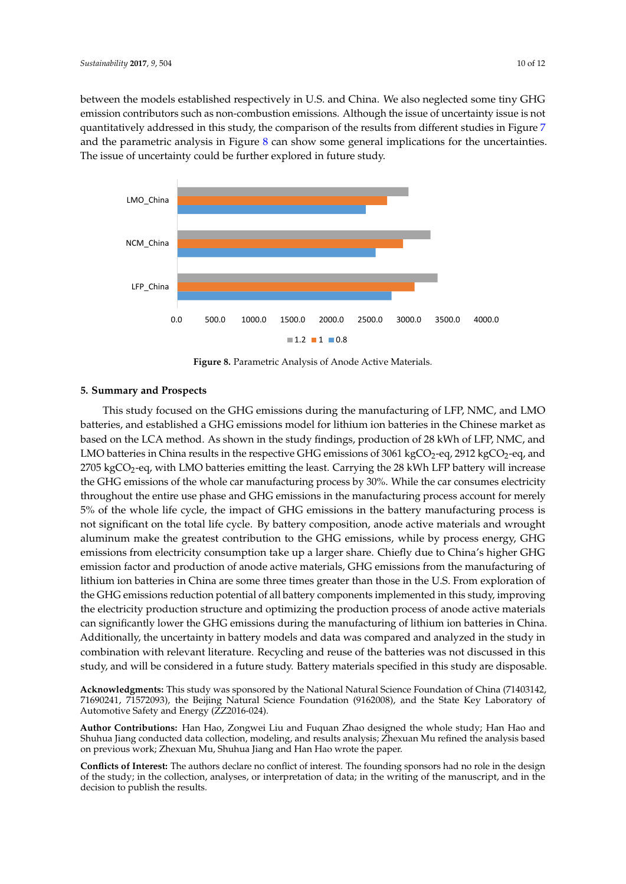between the models established respectively in U.S. and China. We also neglected some tiny GHG between the models established respectively in U.S. and China. We also neglected some tiny GHG emission contributors such as non-combustion emissions. Although the issue of uncertainty issue is not quantitatively addressed in this study, the comparison of the results from different studies in Figure [7](#page-8-1) and the parametric analysis in Figure [8](#page-9-0) can show some general implications for the uncertainties. The issue of uncertainty could be further explored in future study.

<span id="page-9-0"></span>

**Figure 8.** Parametric Analysis of Anode Active Materials. **Figure 8.** Parametric Analysis of Anode Active Materials.

# **5. Summary and Prospects 5. Summary and Prospects**

This study focused on the GHG emissions during the manufacturing of LFP, NMC, and LMO This study focused on the GHG emissions during the manufacturing of LFP, NMC, and LMO batteries, and established a GHG emissions model for lithium ion batteries in the Chinese market as batteries, and established a GHG emissions model for lithium ion batteries in the Chinese market as based on the LCA method. As shown in the study findings, production of 28 kWh of LFP, NMC, and based on the LCA method. As shown in the study findings, production of 28 kWh of LFP, NMC, and LMO batteries in China results in the respective GHG emissions of 3061 kgCO<sub>2</sub>-eq, 2912 kgCO<sub>2</sub>-eq, and  $2705 \text{ kgCO}_2$ -eq, with LMO batteries emitting the least. Carrying the 28 kWh LFP battery will increase the GHG emissions of the whole car manufacturing process by 30%. While the car consumes electricity throughout the entire use phase and GHG emissions in the manufacturing process account for merely 5% of the whole life cycle, the impact of GHG emissions in the battery manufacturing process is not significant on the total life cycle. By battery composition, anode active materials and wrought aluminum make the greatest contribution to the GHG emissions, while by process energy, GHG GHG emissions from electricity consumption take up a larger share. Chiefly due to China's higher emissions from electricity consumption take up a larger share. Chiefly due to China's higher GHG General Homelement consumption three up a nager state. Change and to change state emission factor and production of anode active materials, GHG emissions from the manufacturing of lithium ion batteries in China are some three times greater than those in the U.S. From exploration of the GHG emissions reduction potential of all battery components implemented in this study, improving the electricity production structure and optimizing the production process of anode active materials can significantly lower the GHG emissions during the manufacturing of lithium ion batteries in China. Additionally, the uncertainty in battery models and data was compared and analyzed in the study in combination with relevant literature. Recycling and reuse of the batteries was not discussed in this study, and will be considered in a future study. Battery materials specified in this study are disposable.

**Acknowledgments:** This study was sponsored by the National Natural Science Foundation of China (71403142, **Acknowledgments:** This study was sponsored by the National Natural Science Foundation of China (71403142, 71690241, 71572093), the Beijing Natural Science Foundation (9162008), and the State Key Laboratory of 71690241, 71572093), the Beijing Natural Science Foundation (9162008), and the State Key Laboratory of Automotive Safety and Energy (ZZ2016-024). Automotive Safety and Energy (ZZ2016-024).

**Author Contributions:** Han Hao, Zongwei Liu and Fuquan Zhao designed the whole study; Han Hao and **Author Contributions:** Han Hao, Zongwei Liu and Fuquan Zhao designed the whole study; Han Hao and Shuhua Jiang conducted data collection, modeling, and results analysis; Zhexuan Mu refined the analysis based Shuhua Jiang conducted data collection, modeling, and results analysis; Zhexuan Mu refined the analysis based on previous work; Zhexuan Mu, Shuhua Jiang and Han Hao wrote the paper. on previous work; Zhexuan Mu, Shuhua Jiang and Han Hao wrote the paper.

**Conflicts of Interest:** The authors declare no conflict of interest. The founding sponsors had no role in the design of the study; in the collection, analyses, or interpretation of data; in the writing of the manuscript, and in the decision to publish the results.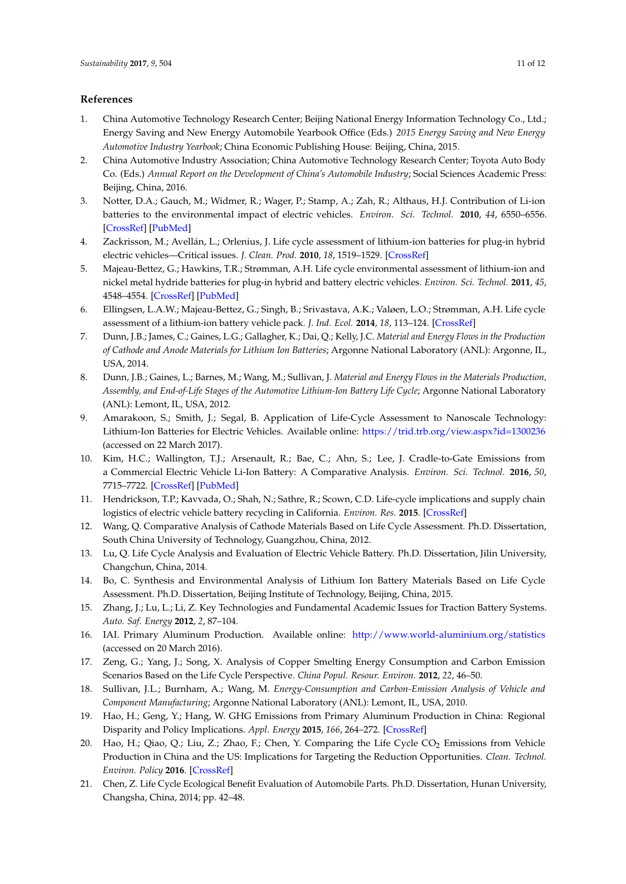### **References**

- <span id="page-10-0"></span>1. China Automotive Technology Research Center; Beijing National Energy Information Technology Co., Ltd.; Energy Saving and New Energy Automobile Yearbook Office (Eds.) *2015 Energy Saving and New Energy Automotive Industry Yearbook*; China Economic Publishing House: Beijing, China, 2015.
- <span id="page-10-1"></span>2. China Automotive Industry Association; China Automotive Technology Research Center; Toyota Auto Body Co. (Eds.) *Annual Report on the Development of China's Automobile Industry*; Social Sciences Academic Press: Beijing, China, 2016.
- <span id="page-10-2"></span>3. Notter, D.A.; Gauch, M.; Widmer, R.; Wager, P.; Stamp, A.; Zah, R.; Althaus, H.J. Contribution of Li-ion batteries to the environmental impact of electric vehicles. *Environ. Sci. Technol.* **2010**, *44*, 6550–6556. [\[CrossRef\]](http://dx.doi.org/10.1021/es903729a) [\[PubMed\]](http://www.ncbi.nlm.nih.gov/pubmed/20695466)
- <span id="page-10-3"></span>4. Zackrisson, M.; Avellán, L.; Orlenius, J. Life cycle assessment of lithium-ion batteries for plug-in hybrid electric vehicles—Critical issues. *J. Clean. Prod.* **2010**, *18*, 1519–1529. [\[CrossRef\]](http://dx.doi.org/10.1016/j.jclepro.2010.06.004)
- <span id="page-10-4"></span>5. Majeau-Bettez, G.; Hawkins, T.R.; Strømman, A.H. Life cycle environmental assessment of lithium-ion and nickel metal hydride batteries for plug-in hybrid and battery electric vehicles. *Environ. Sci. Technol.* **2011**, *45*, 4548–4554. [\[CrossRef\]](http://dx.doi.org/10.1021/es103607c) [\[PubMed\]](http://www.ncbi.nlm.nih.gov/pubmed/21506538)
- <span id="page-10-5"></span>6. Ellingsen, L.A.W.; Majeau-Bettez, G.; Singh, B.; Srivastava, A.K.; Valøen, L.O.; Strømman, A.H. Life cycle assessment of a lithium-ion battery vehicle pack. *J. Ind. Ecol.* **2014**, *18*, 113–124. [\[CrossRef\]](http://dx.doi.org/10.1111/jiec.12072)
- <span id="page-10-6"></span>7. Dunn, J.B.; James, C.; Gaines, L.G.; Gallagher, K.; Dai, Q.; Kelly, J.C. *Material and Energy Flows in the Production of Cathode and Anode Materials for Lithium Ion Batteries*; Argonne National Laboratory (ANL): Argonne, IL, USA, 2014.
- <span id="page-10-7"></span>8. Dunn, J.B.; Gaines, L.; Barnes, M.; Wang, M.; Sullivan, J. *Material and Energy Flows in the Materials Production, Assembly, and End-of-Life Stages of the Automotive Lithium-Ion Battery Life Cycle*; Argonne National Laboratory (ANL): Lemont, IL, USA, 2012.
- <span id="page-10-8"></span>9. Amarakoon, S.; Smith, J.; Segal, B. Application of Life-Cycle Assessment to Nanoscale Technology: Lithium-Ion Batteries for Electric Vehicles. Available online: <https://trid.trb.org/view.aspx?id=1300236> (accessed on 22 March 2017).
- <span id="page-10-9"></span>10. Kim, H.C.; Wallington, T.J.; Arsenault, R.; Bae, C.; Ahn, S.; Lee, J. Cradle-to-Gate Emissions from a Commercial Electric Vehicle Li-Ion Battery: A Comparative Analysis. *Environ. Sci. Technol.* **2016**, *50*, 7715–7722. [\[CrossRef\]](http://dx.doi.org/10.1021/acs.est.6b00830) [\[PubMed\]](http://www.ncbi.nlm.nih.gov/pubmed/27303957)
- <span id="page-10-10"></span>11. Hendrickson, T.P.; Kavvada, O.; Shah, N.; Sathre, R.; Scown, C.D. Life-cycle implications and supply chain logistics of electric vehicle battery recycling in California. *Environ. Res.* **2015**. [\[CrossRef\]](http://dx.doi.org/10.1088/1748-9326/10/1/014011)
- <span id="page-10-11"></span>12. Wang, Q. Comparative Analysis of Cathode Materials Based on Life Cycle Assessment. Ph.D. Dissertation, South China University of Technology, Guangzhou, China, 2012.
- <span id="page-10-12"></span>13. Lu, Q. Life Cycle Analysis and Evaluation of Electric Vehicle Battery. Ph.D. Dissertation, Jilin University, Changchun, China, 2014.
- <span id="page-10-13"></span>14. Bo, C. Synthesis and Environmental Analysis of Lithium Ion Battery Materials Based on Life Cycle Assessment. Ph.D. Dissertation, Beijing Institute of Technology, Beijing, China, 2015.
- <span id="page-10-14"></span>15. Zhang, J.; Lu, L.; Li, Z. Key Technologies and Fundamental Academic Issues for Traction Battery Systems. *Auto. Saf. Energy* **2012**, *2*, 87–104.
- <span id="page-10-15"></span>16. IAI. Primary Aluminum Production. Available online: <http://www.world-aluminium.org/statistics> (accessed on 20 March 2016).
- <span id="page-10-16"></span>17. Zeng, G.; Yang, J.; Song, X. Analysis of Copper Smelting Energy Consumption and Carbon Emission Scenarios Based on the Life Cycle Perspective. *China Popul. Resour. Environ.* **2012**, *22*, 46–50.
- <span id="page-10-17"></span>18. Sullivan, J.L.; Burnham, A.; Wang, M. *Energy-Consumption and Carbon-Emission Analysis of Vehicle and Component Manufacturing*; Argonne National Laboratory (ANL): Lemont, IL, USA, 2010.
- <span id="page-10-18"></span>19. Hao, H.; Geng, Y.; Hang, W. GHG Emissions from Primary Aluminum Production in China: Regional Disparity and Policy Implications. *Appl. Energy* **2015**, *166*, 264–272. [\[CrossRef\]](http://dx.doi.org/10.1016/j.apenergy.2015.05.056)
- <span id="page-10-19"></span>20. Hao, H.; Qiao, Q.; Liu, Z.; Zhao, F.; Chen, Y. Comparing the Life Cycle CO<sub>2</sub> Emissions from Vehicle Production in China and the US: Implications for Targeting the Reduction Opportunities. *Clean. Technol. Environ. Policy* **2016**. [\[CrossRef\]](http://dx.doi.org/10.1007/s10098-016-1325-6)
- <span id="page-10-20"></span>21. Chen, Z. Life Cycle Ecological Benefit Evaluation of Automobile Parts. Ph.D. Dissertation, Hunan University, Changsha, China, 2014; pp. 42–48.